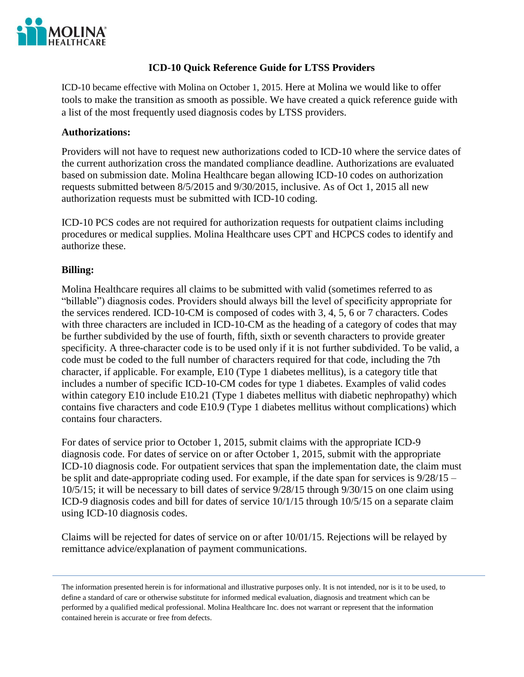

### **ICD-10 Quick Reference Guide for LTSS Providers**

ICD-10 became effective with Molina on October 1, 2015. Here at Molina we would like to offer tools to make the transition as smooth as possible. We have created a quick reference guide with a list of the most frequently used diagnosis codes by LTSS providers.

#### **Authorizations:**

Providers will not have to request new authorizations coded to ICD-10 where the service dates of the current authorization cross the mandated compliance deadline. Authorizations are evaluated based on submission date. Molina Healthcare began allowing ICD-10 codes on authorization requests submitted between 8/5/2015 and 9/30/2015, inclusive. As of Oct 1, 2015 all new authorization requests must be submitted with ICD-10 coding.

ICD-10 PCS codes are not required for authorization requests for outpatient claims including procedures or medical supplies. Molina Healthcare uses CPT and HCPCS codes to identify and authorize these.

#### **Billing:**

Molina Healthcare requires all claims to be submitted with valid (sometimes referred to as "billable") diagnosis codes. Providers should always bill the level of specificity appropriate for the services rendered. ICD-10-CM is composed of codes with 3, 4, 5, 6 or 7 characters. Codes with three characters are included in ICD-10-CM as the heading of a category of codes that may be further subdivided by the use of fourth, fifth, sixth or seventh characters to provide greater specificity. A three-character code is to be used only if it is not further subdivided. To be valid, a code must be coded to the full number of characters required for that code, including the 7th character, if applicable. For example, E10 (Type 1 diabetes mellitus), is a category title that includes a number of specific ICD-10-CM codes for type 1 diabetes. Examples of valid codes within category E10 include E10.21 (Type 1 diabetes mellitus with diabetic nephropathy) which contains five characters and code E10.9 (Type 1 diabetes mellitus without complications) which contains four characters.

For dates of service prior to October 1, 2015, submit claims with the appropriate ICD-9 diagnosis code. For dates of service on or after October 1, 2015, submit with the appropriate ICD-10 diagnosis code. For outpatient services that span the implementation date, the claim must be split and date-appropriate coding used. For example, if the date span for services is 9/28/15 – 10/5/15; it will be necessary to bill dates of service 9/28/15 through 9/30/15 on one claim using ICD-9 diagnosis codes and bill for dates of service 10/1/15 through 10/5/15 on a separate claim using ICD-10 diagnosis codes.

Claims will be rejected for dates of service on or after 10/01/15. Rejections will be relayed by remittance advice/explanation of payment communications.

The information presented herein is for informational and illustrative purposes only. It is not intended, nor is it to be used, to define a standard of care or otherwise substitute for informed medical evaluation, diagnosis and treatment which can be performed by a qualified medical professional. Molina Healthcare Inc. does not warrant or represent that the information contained herein is accurate or free from defects.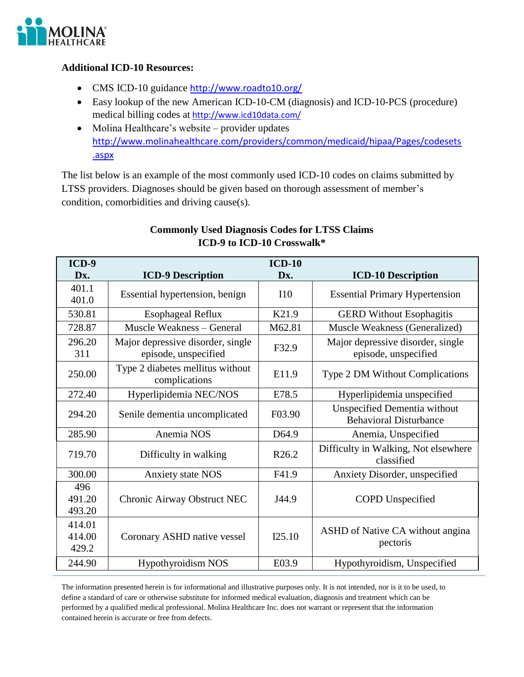

## **Additional ICD-10 Resources:**

- CMS ICD-10 guidance http://www.roadto10.org/
- Easy lookup of the new American ICD-10-CM (diagnosis) and ICD-10-PCS (procedure) medical billing codes at <http://www.icd10data.com/>
- Molina Healthcare's website provider updates [http://www.molinahealthcare.com/providers/common/medicaid/hipaa/Pages/codesets](http://www.molinahealthcare.com/providers/common/medicaid/hipaa/Pages/codesets.aspx) [.aspx](http://www.molinahealthcare.com/providers/common/medicaid/hipaa/Pages/codesets.aspx)

The list below is an example of the most commonly used ICD-10 codes on claims submitted by LTSS providers. Diagnoses should be given based on thorough assessment of member's condition, comorbidities and driving cause(s).

| ICD-9                     |                                                           | $ICD-10$          |                                                                      |
|---------------------------|-----------------------------------------------------------|-------------------|----------------------------------------------------------------------|
| Dx.                       | <b>ICD-9 Description</b>                                  | Dx.               | <b>ICD-10 Description</b>                                            |
| 401.1<br>401.0            | Essential hypertension, benign                            | 110               | <b>Essential Primary Hypertension</b>                                |
| 530.81                    | <b>Esophageal Reflux</b>                                  | K21.9             | <b>GERD</b> Without Esophagitis                                      |
| 728.87                    | <b>Muscle Weakness - General</b>                          | M62.81            | Muscle Weakness (Generalized)                                        |
| 296.20<br>311             | Major depressive disorder, single<br>episode, unspecified | F32.9             | Major depressive disorder, single<br>episode, unspecified            |
| 250.00                    | Type 2 diabetes mellitus without<br>complications         | E11.9             | Type 2 DM Without Complications                                      |
| 272.40                    | Hyperlipidemia NEC/NOS                                    | E78.5             | Hyperlipidemia unspecified                                           |
| 294.20                    | Senile dementia uncomplicated                             | F03.90            | <b>Unspecified Dementia without</b><br><b>Behavioral Disturbance</b> |
| 285.90                    | Anemia NOS                                                | D64.9             | Anemia, Unspecified                                                  |
| 719.70                    | Difficulty in walking                                     | R <sub>26.2</sub> | Difficulty in Walking, Not elsewhere<br>classified                   |
| 300.00                    | <b>Anxiety state NOS</b>                                  | F41.9             | Anxiety Disorder, unspecified                                        |
| 496<br>491.20<br>493.20   | Chronic Airway Obstruct NEC                               | J44.9             | <b>COPD</b> Unspecified                                              |
| 414.01<br>414.00<br>429.2 | Coronary ASHD native vessel                               | I25.10            | ASHD of Native CA without angina<br>pectoris                         |
| 244.90                    | <b>Hypothyroidism NOS</b>                                 | E03.9             | Hypothyroidism, Unspecified                                          |

# **Commonly Used Diagnosis Codes for LTSS Claims ICD-9 to ICD-10 Crosswalk\***

The information presented herein is for informational and illustrative purposes only. It is not intended, nor is it to be used, to define a standard of care or otherwise substitute for informed medical evaluation, diagnosis and treatment which can be performed by a qualified medical professional. Molina Healthcare Inc. does not warrant or represent that the information contained herein is accurate or free from defects.